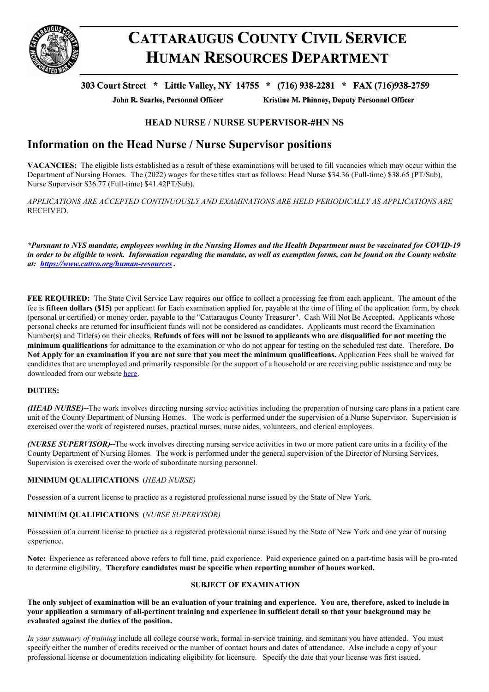

# **CATTARAUGUS COUNTY CIVIL SERVICE HUMAN RESOURCES DEPARTMENT**

## 303 Court Street \* Little Valley, NY 14755 \* (716) 938-2281 \* FAX (716)938-2759

John R. Searles, Personnel Officer

Kristine M. Phinney, Deputy Personnel Officer

### **HEAD NURSE / NURSE SUPERVISOR-#HN NS**

# **Information on the Head Nurse / Nurse Supervisor positions**

**VACANCIES:** The eligible lists established as a result of these examinations will be used to fill vacancies which may occur within the Department of Nursing Homes. The (2022) wages for these titles start as follows: Head Nurse \$34.36 (Full-time) \$38.65 (PT/Sub), Nurse Supervisor \$36.77 (Full-time) \$41.42PT/Sub).

*APPLICATIONS ARE ACCEPTED CONTINUOUSLY AND EXAMINATIONS ARE HELD PERIODICALLY AS APPLICATIONS ARE* RECEIVED.

\*Pursuant to NYS mandate, employees working in the Nursing Homes and the Health Department must be vaccinated for COVID-19 in order to be eligible to work. Information regarding the mandate, as well as exemption forms, can be found on the County website *at: <https://www.cattco.org/human-resources> .*

**FEE REQUIRED:** The State Civil Service Law requires our office to collect a processing fee from each applicant. The amount of the fee is **fifteen dollars (\$15)** per applicant for Each examination applied for, payable at the time of filing of the application form, by check (personal or certified) or money order, payable to the "Cattaraugus County Treasurer". Cash Will Not Be Accepted. Applicants whose personal checks are returned for insufficient funds will not be considered as candidates. Applicants must record the Examination Number(s) and Title(s) on their checks. Refunds of fees will not be issued to applicants who are disqualified for not meeting the **minimum qualifications** for admittance to the examination or who do not appear for testing on the scheduled test date. Therefore, **Do** Not Apply for an examination if you are not sure that you meet the minimum qualifications. Application Fees shall be waived for candidates that are unemployed and primarily responsible for the support of a household or are receiving public assistance and may be downloaded from our website [here](http://www.cattco.org/jobs).

#### **DUTIES:**

*(HEAD NURSE)***--**The work involves directing nursing service activities including the preparation of nursing care plans in a patient care unit of the County Department of Nursing Homes. The work is performed under the supervision of a Nurse Supervisor. Supervision is exercised over the work of registered nurses, practical nurses, nurse aides, volunteers, and clerical employees.

*(NURSE SUPERVISOR)***--**The work involves directing nursing service activities in two or more patient care units in a facility of the County Department of Nursing Homes. The work is performed under the general supervision of the Director of Nursing Services. Supervision is exercised over the work of subordinate nursing personnel.

#### **MINIMUM QUALIFICATIONS** (*HEAD NURSE)*

Possession of a current license to practice as a registered professional nurse issued by the State of New York.

#### **MINIMUM QUALIFICATIONS** (*NURSE SUPERVISOR)*

Possession of a current license to practice as a registered professional nurse issued by the State of New York and one year of nursing experience.

**Note:** Experience as referenced above refers to full time, paid experience. Paid experience gained on a part-time basis will be pro-rated to determine eligibility. **Therefore candidates must be specific when reporting number of hours worked.**

#### **SUBJECT OF EXAMINATION**

The only subject of examination will be an evaluation of your training and experience. You are, therefore, asked to include in your application a summary of all-pertinent training and experience in sufficient detail so that your background may be **evaluated against the duties of the position.**

*In your summary of training* include all college course work, formal in-service training, and seminars you have attended. You must specify either the number of credits received or the number of contact hours and dates of attendance. Also include a copy of your professional license or documentation indicating eligibility for licensure. Specify the date that your license was first issued.